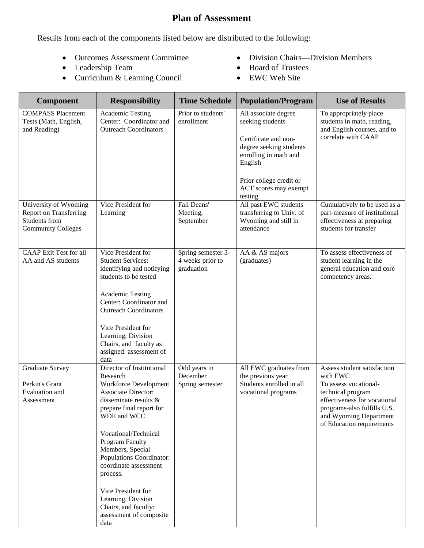## **Plan of Assessment**

Results from each of the components listed below are distributed to the following:

- Outcomes Assessment Committee
- Leadership Team
- Curriculum & Learning Council
- Division Chairs—Division Members
- Board of Trustees
- EWC Web Site

| <b>Component</b>                                                                                     | <b>Responsibility</b>                                                                                                                                                                                                                                                                               | <b>Time Schedule</b>                                 | <b>Population/Program</b>                                                                                                                                                                      | <b>Use of Results</b>                                                                                                                                            |
|------------------------------------------------------------------------------------------------------|-----------------------------------------------------------------------------------------------------------------------------------------------------------------------------------------------------------------------------------------------------------------------------------------------------|------------------------------------------------------|------------------------------------------------------------------------------------------------------------------------------------------------------------------------------------------------|------------------------------------------------------------------------------------------------------------------------------------------------------------------|
| <b>COMPASS Placement</b><br>Tests (Math, English,<br>and Reading)                                    | <b>Academic Testing</b><br>Center: Coordinator and<br><b>Outreach Coordinators</b>                                                                                                                                                                                                                  | Prior to students'<br>enrollment                     | All associate degree<br>seeking students<br>Certificate and non-<br>degree seeking students<br>enrolling in math and<br>English<br>Prior college credit or<br>ACT scores may exempt<br>testing | To appropriately place<br>students in math, reading,<br>and English courses, and to<br>correlate with CAAP                                                       |
| University of Wyoming<br><b>Report on Transferring</b><br>Students from<br><b>Community Colleges</b> | Vice President for<br>Learning                                                                                                                                                                                                                                                                      | Fall Deans'<br>Meeting,<br>September                 | All past EWC students<br>transferring to Univ. of<br>Wyoming and still in<br>attendance                                                                                                        | Cumulatively to be used as a<br>part-measure of institutional<br>effectiveness at preparing<br>students for transfer                                             |
| <b>CAAP</b> Exit Test for all<br>AA and AS students                                                  | Vice President for<br><b>Student Services:</b><br>identifying and notifying<br>students to be tested<br><b>Academic Testing</b><br>Center: Coordinator and<br><b>Outreach Coordinators</b><br>Vice President for<br>Learning, Division<br>Chairs, and faculty as<br>assigned: assessment of<br>data | Spring semester 3-<br>4 weeks prior to<br>graduation | AA & AS majors<br>(graduates)                                                                                                                                                                  | To assess effectiveness of<br>student learning in the<br>general education and core<br>competency areas.                                                         |
| <b>Graduate Survey</b>                                                                               | Director of Institutional<br>Research                                                                                                                                                                                                                                                               | Odd years in<br>December                             | All EWC graduates from<br>the previous year                                                                                                                                                    | Assess student satisfaction<br>with EWC                                                                                                                          |
| Perkin's Grant<br><b>Evaluation</b> and<br>Assessment                                                | Workforce Development<br><b>Associate Director:</b><br>disseminate results $\&$<br>prepare final report for<br>WDE and WCC<br>Vocational/Technical<br>Program Faculty<br>Members, Special<br>Populations Coordinator:<br>coordinate assessment<br>process.<br>Vice President for                    | Spring semester                                      | Students enrolled in all<br>vocational programs                                                                                                                                                | To assess vocational-<br>technical program<br>effectiveness for vocational<br>programs-also fulfills U.S.<br>and Wyoming Department<br>of Education requirements |
|                                                                                                      | Learning, Division<br>Chairs, and faculty:<br>assessment of composite<br>data                                                                                                                                                                                                                       |                                                      |                                                                                                                                                                                                |                                                                                                                                                                  |